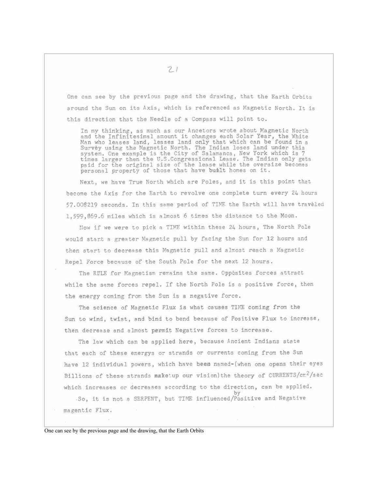One can see by the previous page and the drawing, that the Earth Orbits around the Sun on its Axis, which is referenced as Magnetic North. It is this direction that the Needle of a Compass will point to.

In my thinking, as much as our Ancetors wrote about Magnetic North In my thinking, as much as our ancetors wrote about magnetic North<br>and the Infinitesimal amount it changes each Solar Year, the White<br>Man who leases land, leases land only that which can be found in a<br>Survey using the Magn personal property of those that have built homes on it.

Next, we have True North which are Poles, and it is this point that become the Axis for the Earth to revolve one complete turn every 24 hours 57.008219 seconds. In this same period of TIME the Earth will have traveled 1,599,869.6 miles which is almost 6 times the distance to the Moon.

Now if we were to pick a TIME within these 24 hours, The North Pole would start a greater Magnetic pull by facing the Sun for 12 hours and then start to decrease this Magnetic pull and almost reach a Magnetic Repel Force because of the South Pole for the next 12 hours.

The RULE for Magnetism remains the same. Opposites forces attract while the same forces repel. If the North Pole is a positive force, then the energy coming from the Sun is a negative force.

The science of Magnetic Flux is what causes TIME coming from the Sun to wind, twist, and bind to bend because of Positive Flux to incresse, then decrease and almost permit Negative forces to increase.

The law which can be applied here, because Ancient Indians state that each of these energys or strands or currents coming from the Sun have 12 individual powers, which have been named-(when one opens their eyes Billions of these strands maketup our vision) the theory of CURRENTS/cm<sup>2</sup>/sec which increases or decreases according to the direction, can be applied.

.So, it is not a SERPENT, but TIME influenced/Positive and Negative magentic Flux.

One can see by the previous page and the drawing, that the Earth Orbits

 $71$